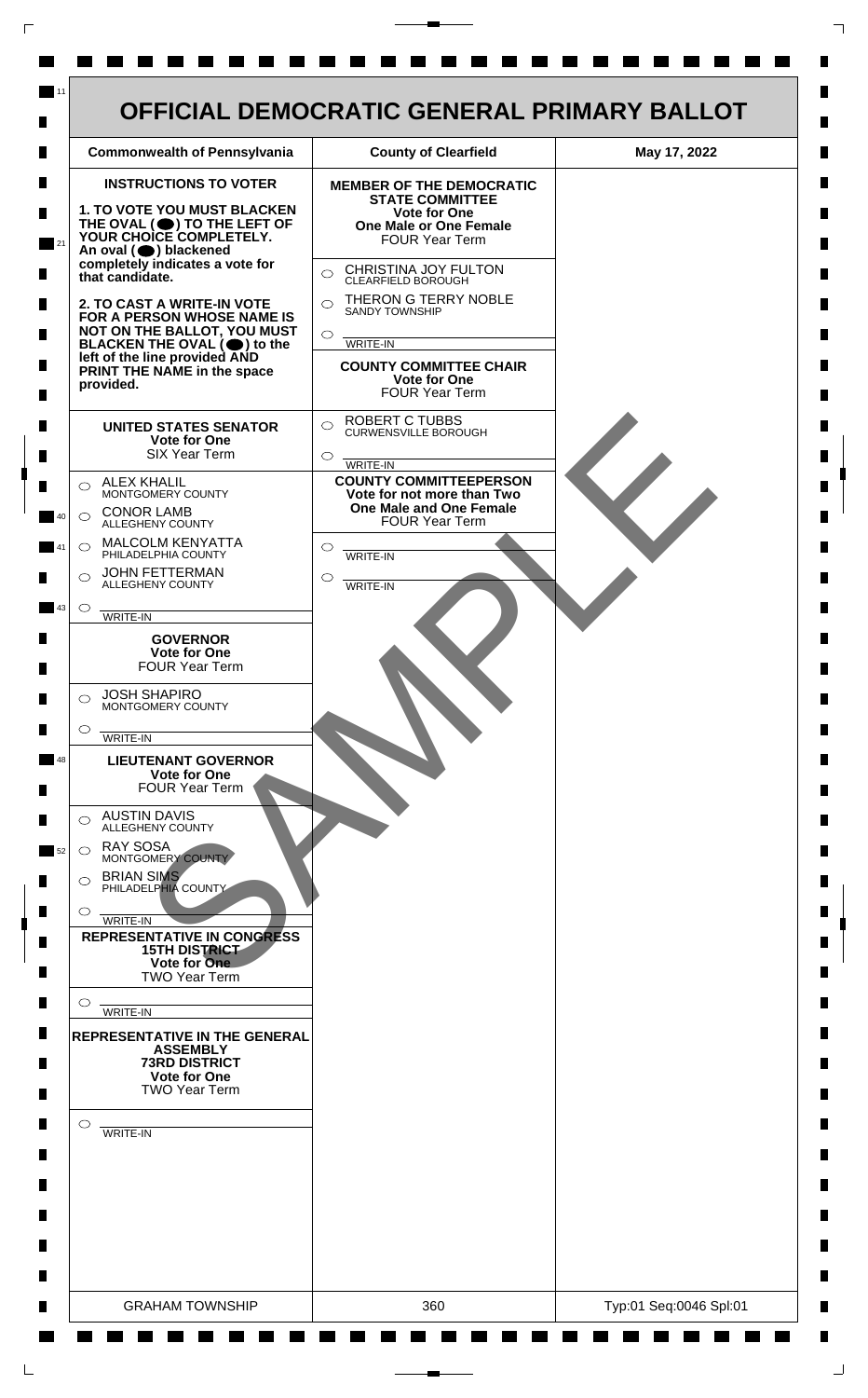

 $\mathsf{L}$ 

 $\Box$